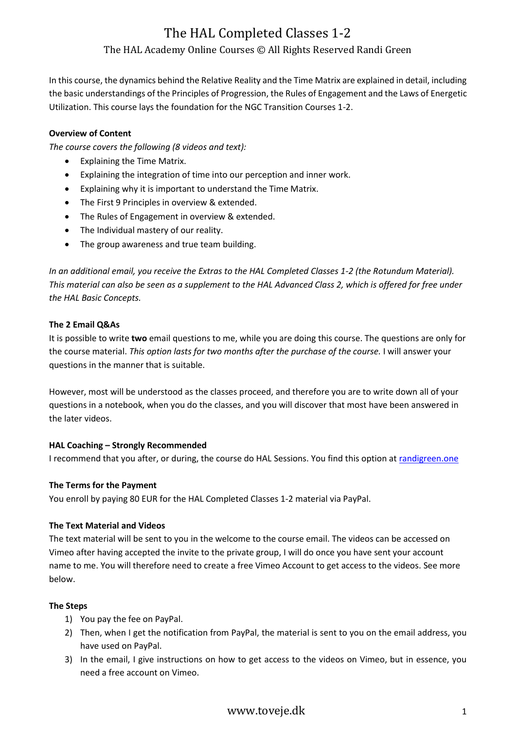# The HAL Completed Classes 1-2 The HAL Academy Online Courses © All Rights Reserved Randi Green

In this course, the dynamics behind the Relative Reality and the Time Matrix are explained in detail, including the basic understandings of the Principles of Progression, the Rules of Engagement and the Laws of Energetic Utilization. This course lays the foundation for the NGC Transition Courses 1-2.

#### **Overview of Content**

*The course covers the following (8 videos and text):*

- Explaining the Time Matrix.
- Explaining the integration of time into our perception and inner work.
- Explaining why it is important to understand the Time Matrix.
- The First 9 Principles in overview & extended.
- The Rules of Engagement in overview & extended.
- The Individual mastery of our reality.
- The group awareness and true team building.

*In an additional email, you receive the Extras to the HAL Completed Classes 1-2 (the Rotundum Material). This material can also be seen as a supplement to the HAL Advanced Class 2, which is offered for free under the HAL Basic Concepts.*

### **The 2 Email Q&As**

It is possible to write **two** email questions to me, while you are doing this course. The questions are only for the course material. *This option lasts for two months after the purchase of the course.* I will answer your questions in the manner that is suitable.

However, most will be understood as the classes proceed, and therefore you are to write down all of your questions in a notebook, when you do the classes, and you will discover that most have been answered in the later videos.

#### **HAL Coaching – Strongly Recommended**

I recommend that you after, or during, the course do HAL Sessions. You find this option at [randigreen.one](file:///E:/HAL%20Classes/randigreen.one)

#### **The Terms for the Payment**

You enroll by paying 80 EUR for the HAL Completed Classes 1-2 material via PayPal.

#### **The Text Material and Videos**

The text material will be sent to you in the welcome to the course email. The videos can be accessed on Vimeo after having accepted the invite to the private group, I will do once you have sent your account name to me. You will therefore need to create a free Vimeo Account to get access to the videos. See more below.

### **The Steps**

- 1) You pay the fee on PayPal.
- 2) Then, when I get the notification from PayPal, the material is sent to you on the email address, you have used on PayPal.
- 3) In the email, I give instructions on how to get access to the videos on Vimeo, but in essence, you need a free account on Vimeo.

## www.toveje.dk 1